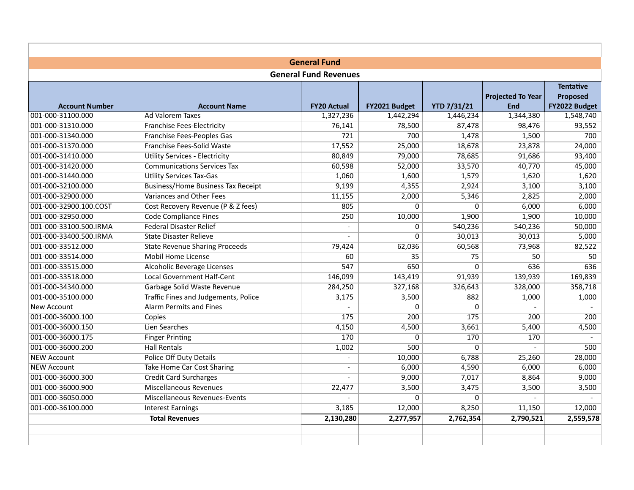|                        | <b>General Fund</b>                       |                              |               |                    |                                        |                                                      |  |  |
|------------------------|-------------------------------------------|------------------------------|---------------|--------------------|----------------------------------------|------------------------------------------------------|--|--|
|                        |                                           | <b>General Fund Revenues</b> |               |                    |                                        |                                                      |  |  |
| <b>Account Number</b>  | <b>Account Name</b>                       | <b>FY20 Actual</b>           | FY2021 Budget | <b>YTD 7/31/21</b> | <b>Projected To Year</b><br><b>End</b> | <b>Tentative</b><br><b>Proposed</b><br>FY2022 Budget |  |  |
| 001-000-31100.000      | <b>Ad Valorem Taxes</b>                   | 1,327,236                    | 1,442,294     | 1,446,234          | 1,344,380                              | 1,548,740                                            |  |  |
| 001-000-31310.000      | <b>Franchise Fees-Electricity</b>         | 76,141                       | 78,500        | 87,478             | 98,476                                 | 93,552                                               |  |  |
| 001-000-31340.000      | Franchise Fees-Peoples Gas                | 721                          | 700           | 1,478              | 1,500                                  | 700                                                  |  |  |
| 001-000-31370.000      | Franchise Fees-Solid Waste                | 17,552                       | 25,000        | 18,678             | 23,878                                 | 24,000                                               |  |  |
| 001-000-31410.000      | <b>Utility Services - Electricity</b>     | 80,849                       | 79,000        | 78,685             | 91,686                                 | 93,400                                               |  |  |
| 001-000-31420.000      | <b>Communications Services Tax</b>        | 60,598                       | 52,000        | 33,570             | 40,770                                 | 45,000                                               |  |  |
| 001-000-31440.000      | <b>Utility Services Tax-Gas</b>           | 1,060                        | 1,600         | 1,579              | 1,620                                  | 1,620                                                |  |  |
| 001-000-32100.000      | <b>Business/Home Business Tax Receipt</b> | 9,199                        | 4,355         | 2,924              | 3,100                                  | 3,100                                                |  |  |
| 001-000-32900.000      | Variances and Other Fees                  | 11,155                       | 2,000         | 5,346              | 2,825                                  | 2,000                                                |  |  |
| 001-000-32900.100.COST | Cost Recovery Revenue (P & Z fees)        | 805                          | $\Omega$      | 0                  | 6,000                                  | 6,000                                                |  |  |
| 001-000-32950.000      | <b>Code Compliance Fines</b>              | 250                          | 10,000        | 1,900              | 1,900                                  | 10,000                                               |  |  |
| 001-000-33100.500.IRMA | <b>Federal Disaster Relief</b>            |                              | $\mathbf 0$   | 540,236            | 540,236                                | 50,000                                               |  |  |
| 001-000-33400.500.IRMA | <b>State Disaster Relieve</b>             |                              | $\mathbf 0$   | 30,013             | 30,013                                 | 5,000                                                |  |  |
| 001-000-33512.000      | <b>State Revenue Sharing Proceeds</b>     | 79,424                       | 62.036        | 60,568             | 73,968                                 | 82,522                                               |  |  |
| 001-000-33514.000      | <b>Mobil Home License</b>                 | 60                           | 35            | 75                 | 50                                     | 50                                                   |  |  |
| 001-000-33515.000      | Alcoholic Beverage Licenses               | 547                          | 650           | $\Omega$           | 636                                    | 636                                                  |  |  |
| 001-000-33518.000      | <b>Local Government Half-Cent</b>         | 146,099                      | 143,419       | 91,939             | 139,939                                | 169,839                                              |  |  |
| 001-000-34340.000      | Garbage Solid Waste Revenue               | 284,250                      | 327,168       | 326,643            | 328,000                                | 358,718                                              |  |  |
| 001-000-35100.000      | Traffic Fines and Judgements, Police      | 3,175                        | 3,500         | 882                | 1,000                                  | 1,000                                                |  |  |
| New Account            | <b>Alarm Permits and Fines</b>            |                              | $\Omega$      | $\Omega$           |                                        |                                                      |  |  |
| 001-000-36000.100      | Copies                                    | 175                          | 200           | $\overline{175}$   | 200                                    | 200                                                  |  |  |
| 001-000-36000.150      | Lien Searches                             | 4,150                        | 4,500         | 3,661              | 5,400                                  | 4,500                                                |  |  |
| 001-000-36000.175      | <b>Finger Printing</b>                    | 170                          | $\Omega$      | 170                | 170                                    |                                                      |  |  |
| 001-000-36000.200      | <b>Hall Rentals</b>                       | 1,002                        | 500           | 0                  | $\overline{a}$                         | 500                                                  |  |  |
| <b>NEW Account</b>     | <b>Police Off Duty Details</b>            | $\sim$                       | 10,000        | 6,788              | 25,260                                 | 28,000                                               |  |  |
| <b>NEW Account</b>     | <b>Take Home Car Cost Sharing</b>         | $\blacksquare$               | 6,000         | 4,590              | 6,000                                  | 6,000                                                |  |  |
| 001-000-36000.300      | <b>Credit Card Surcharges</b>             |                              | 9,000         | 7,017              | 8,864                                  | 9,000                                                |  |  |
| 001-000-36000.900      | Miscellaneous Revenues                    | 22,477                       | 3,500         | 3,475              | 3,500                                  | 3,500                                                |  |  |
| 001-000-36050.000      | Miscellaneous Revenues-Events             | $\overline{a}$               | $\mathbf 0$   | $\mathbf 0$        | $\sim$                                 |                                                      |  |  |
| 001-000-36100.000      | <b>Interest Earnings</b>                  | 3,185                        | 12,000        | 8,250              | 11,150                                 | 12,000                                               |  |  |
|                        | <b>Total Revenues</b>                     | 2,130,280                    | 2,277,957     | 2,762,354          | 2,790,521                              | 2,559,578                                            |  |  |
|                        |                                           |                              |               |                    |                                        |                                                      |  |  |
|                        |                                           |                              |               |                    |                                        |                                                      |  |  |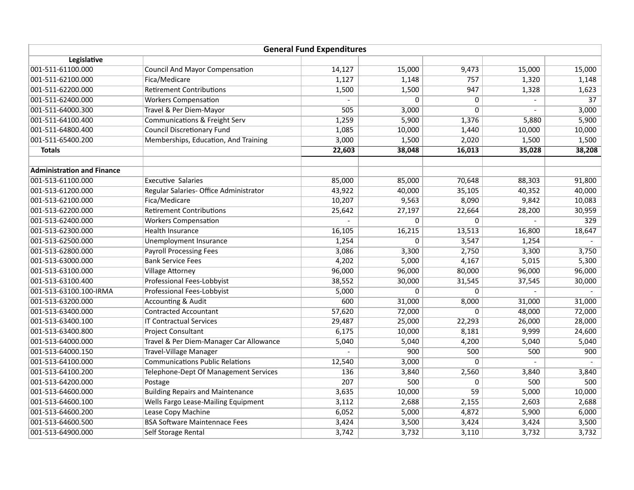|                                   |                                            | <b>General Fund Expenditures</b> |                |                |                |                 |
|-----------------------------------|--------------------------------------------|----------------------------------|----------------|----------------|----------------|-----------------|
| Legislative                       |                                            |                                  |                |                |                |                 |
| 001-511-61100.000                 | <b>Council And Mayor Compensation</b>      | 14,127                           | 15,000         | 9,473          | 15,000         | 15,000          |
| 001-511-62100.000                 | Fica/Medicare                              | 1,127                            | 1,148          | 757            | 1,320          | 1,148           |
| 001-511-62200.000                 | <b>Retirement Contributions</b>            | 1,500                            | 1,500          | 947            | 1,328          | 1,623           |
| 001-511-62400.000                 | <b>Workers Compensation</b>                |                                  | $\Omega$       | 0              |                | $\overline{37}$ |
| 001-511-64000.300                 | Travel & Per Diem-Mayor                    | 505                              | 3,000          | $\overline{0}$ |                | 3,000           |
| 001-511-64100.400                 | <b>Communications &amp; Freight Serv</b>   | 1,259                            | 5,900          | 1,376          | 5,880          | 5,900           |
| 001-511-64800.400                 | <b>Council Discretionary Fund</b>          | 1,085                            | 10,000         | 1,440          | 10,000         | 10,000          |
| 001-511-65400.200                 | Memberships, Education, And Training       | 3,000                            | 1,500          | 2,020          | 1,500          | 1,500           |
| <b>Totals</b>                     |                                            | 22,603                           | 38,048         | 16,013         | 35,028         | 38,208          |
| <b>Administration and Finance</b> |                                            |                                  |                |                |                |                 |
| 001-513-61100.000                 | <b>Executive Salaries</b>                  | 85,000                           | 85,000         | 70,648         | 88,303         | 91,800          |
| 001-513-61200.000                 | Regular Salaries- Office Administrator     | 43,922                           | 40,000         | 35,105         | 40,352         | 40,000          |
| 001-513-62100.000                 | Fica/Medicare                              | 10,207                           | 9,563          | 8,090          | 9,842          | 10,083          |
| 001-513-62200.000                 | <b>Retirement Contributions</b>            | 25,642                           | 27,197         | 22,664         | 28,200         | 30,959          |
| 001-513-62400.000                 | <b>Workers Compensation</b>                |                                  | 0              | $\overline{0}$ |                | 329             |
| 001-513-62300.000                 | <b>Health Insurance</b>                    | 16,105                           | 16,215         | 13,513         | 16,800         | 18,647          |
| 001-513-62500.000                 | <b>Unemployment Insurance</b>              | 1,254                            | $\overline{0}$ | 3,547          | 1,254          |                 |
| 001-513-62800.000                 | <b>Payroll Processing Fees</b>             | 3,086                            | 3,300          | 2,750          | 3,300          | 3,750           |
| 001-513-63000.000                 | <b>Bank Service Fees</b>                   | 4,202                            | 5,000          | 4,167          | 5,015          | 5,300           |
| 001-513-63100.000                 | <b>Village Attorney</b>                    | 96,000                           | 96,000         | 80,000         | 96,000         | 96,000          |
| 001-513-63100.400                 | <b>Professional Fees-Lobbyist</b>          | 38,552                           | 30,000         | 31,545         | 37,545         | 30,000          |
| 001-513-63100.100-IRMA            | Professional Fees-Lobbyist                 | 5,000                            | $\mathbf 0$    | $\mathbf 0$    |                |                 |
| 001-513-63200.000                 | <b>Accounting &amp; Audit</b>              | 600                              | 31,000         | 8,000          | 31,000         | 31,000          |
| 001-513-63400.000                 | <b>Contracted Accountant</b>               | 57,620                           | 72,000         | 0              | 48,000         | 72,000          |
| 001-513-63400.100                 | <b>IT Contractual Services</b>             | 29,487                           | 25,000         | 22,293         | 26,000         | 28,000          |
| 001-513-63400.800                 | <b>Project Consultant</b>                  | 6,175                            | 10,000         | 8,181          | 9,999          | 24,600          |
| 001-513-64000.000                 | Travel & Per Diem-Manager Car Allowance    | 5,040                            | 5,040          | 4,200          | 5,040          | 5,040           |
| 001-513-64000.150                 | <b>Travel-Village Manager</b>              |                                  | 900            | 500            | 500            | 900             |
| 001-513-64100.000                 | <b>Communications Public Relations</b>     | 12,540                           | 3,000          | 0              | $\overline{a}$ | $\overline{a}$  |
| 001-513-64100.200                 | Telephone-Dept Of Management Services      | 136                              | 3,840          | 2,560          | 3,840          | 3,840           |
| 001-513-64200.000                 | Postage                                    | 207                              | 500            | 0              | 500            | 500             |
| 001-513-64600.000                 | <b>Building Repairs and Maintenance</b>    | 3,635                            | 10,000         | 59             | 5,000          | 10,000          |
| 001-513-64600.100                 | <b>Wells Fargo Lease-Mailing Equipment</b> | 3,112                            | 2,688          | 2,155          | 2,603          | 2,688           |
| 001-513-64600.200                 | Lease Copy Machine                         | 6,052                            | 5,000          | 4,872          | 5,900          | 6,000           |
| 001-513-64600.500                 | <b>BSA Software Maintennace Fees</b>       | 3,424                            | 3,500          | 3,424          | 3,424          | 3,500           |
| 001-513-64900.000                 | Self Storage Rental                        | 3,742                            | 3,732          | 3,110          | 3,732          | 3,732           |
|                                   |                                            |                                  |                |                |                |                 |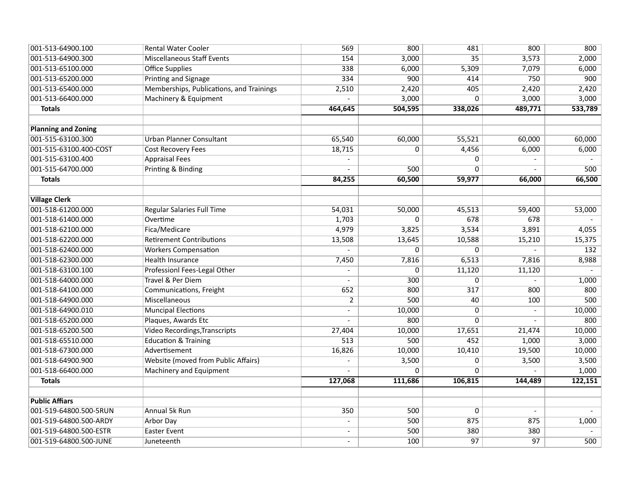| 001-513-64900.100          | <b>Rental Water Cooler</b>               | 569                      | 800         | 481             | 800                      | 800     |
|----------------------------|------------------------------------------|--------------------------|-------------|-----------------|--------------------------|---------|
| 001-513-64900.300          | <b>Miscellaneous Staff Events</b>        | 154                      | 3,000       | $\overline{35}$ | 3,573                    | 2,000   |
| 001-513-65100.000          | <b>Office Supplies</b>                   | 338                      | 6,000       | 5,309           | 7,079                    | 6,000   |
| 001-513-65200.000          | <b>Printing and Signage</b>              | 334                      | 900         | 414             | 750                      | 900     |
| 001-513-65400.000          | Memberships, Publications, and Trainings | 2,510                    | 2,420       | 405             | 2,420                    | 2,420   |
| 001-513-66400.000          | Machinery & Equipment                    |                          | 3,000       | 0               | 3,000                    | 3,000   |
| <b>Totals</b>              |                                          | 464,645                  | 504,595     | 338,026         | 489,771                  | 533,789 |
|                            |                                          |                          |             |                 |                          |         |
| <b>Planning and Zoning</b> |                                          |                          |             |                 |                          |         |
| 001-515-63100.300          | <b>Urban Planner Consultant</b>          | 65,540                   | 60,000      | 55,521          | 60,000                   | 60,000  |
| 001-515-63100.400-COST     | <b>Cost Recovery Fees</b>                | 18,715                   | $\Omega$    | 4,456           | 6,000                    | 6,000   |
| 001-515-63100.400          | <b>Appraisal Fees</b>                    |                          |             | 0               |                          |         |
| 001-515-64700.000          | Printing & Binding                       |                          | 500         | 0               |                          | 500     |
| <b>Totals</b>              |                                          | 84,255                   | 60,500      | 59,977          | 66,000                   | 66,500  |
|                            |                                          |                          |             |                 |                          |         |
| <b>Village Clerk</b>       |                                          |                          |             |                 |                          |         |
| 001-518-61200.000          | <b>Regular Salaries Full Time</b>        | 54,031                   | 50,000      | 45,513          | 59,400                   | 53,000  |
| 001-518-61400.000          | Overtime                                 | 1,703                    | $\Omega$    | 678             | 678                      |         |
| 001-518-62100.000          | Fica/Medicare                            | 4,979                    | 3,825       | 3,534           | 3,891                    | 4,055   |
| 001-518-62200.000          | <b>Retirement Contributions</b>          | 13,508                   | 13,645      | 10,588          | 15,210                   | 15,375  |
| 001-518-62400.000          | <b>Workers Compensation</b>              |                          | 0           | 0               |                          | 132     |
| 001-518-62300.000          | <b>Health Insurance</b>                  | 7,450                    | 7,816       | 6,513           | 7,816                    | 8,988   |
| 001-518-63100.100          | Professionl Fees-Legal Other             | $\overline{\phantom{a}}$ | $\mathbf 0$ | 11,120          | 11,120                   |         |
| 001-518-64000.000          | Travel & Per Diem                        |                          | 300         | 0               |                          | 1,000   |
| 001-518-64100.000          | Communications, Freight                  | 652                      | 800         | 317             | 800                      | 800     |
| 001-518-64900.000          | Miscellaneous                            | $\overline{2}$           | 500         | 40              | 100                      | 500     |
| 001-518-64900.010          | <b>Muncipal Elections</b>                | $\blacksquare$           | 10,000      | $\mathbf 0$     | $\overline{\phantom{a}}$ | 10,000  |
| 001-518-65200.000          | Plaques, Awards Etc                      |                          | 800         | $\Omega$        |                          | 800     |
| 001-518-65200.500          | <b>Video Recordings, Transcripts</b>     | 27,404                   | 10,000      | 17,651          | 21,474                   | 10,000  |
| 001-518-65510.000          | <b>Education &amp; Training</b>          | $\overline{513}$         | 500         | 452             | 1,000                    | 3,000   |
| 001-518-67300.000          | Advertisement                            | 16,826                   | 10,000      | 10,410          | 19,500                   | 10,000  |
| 001-518-64900.900          | Website (moved from Public Affairs)      |                          | 3,500       | 0               | 3,500                    | 3,500   |
| 001-518-66400.000          | <b>Machinery and Equipment</b>           |                          | $\Omega$    | $\Omega$        |                          | 1,000   |
| <b>Totals</b>              |                                          | 127,068                  | 111,686     | 106,815         | 144,489                  | 122,151 |
|                            |                                          |                          |             |                 |                          |         |
| <b>Public Affiars</b>      |                                          |                          |             |                 |                          |         |
| 001-519-64800.500-5RUN     | Annual 5k Run                            | 350                      | 500         | 0               | $\overline{\phantom{a}}$ |         |
| 001-519-64800.500-ARDY     | <b>Arbor Day</b>                         | $\blacksquare$           | 500         | 875             | 875                      | 1,000   |
| 001-519-64800.500-ESTR     | <b>Easter Event</b>                      |                          | 500         | 380             | 380                      |         |
| 001-519-64800.500-JUNE     | Juneteenth                               |                          | 100         | $\overline{97}$ | 97                       | 500     |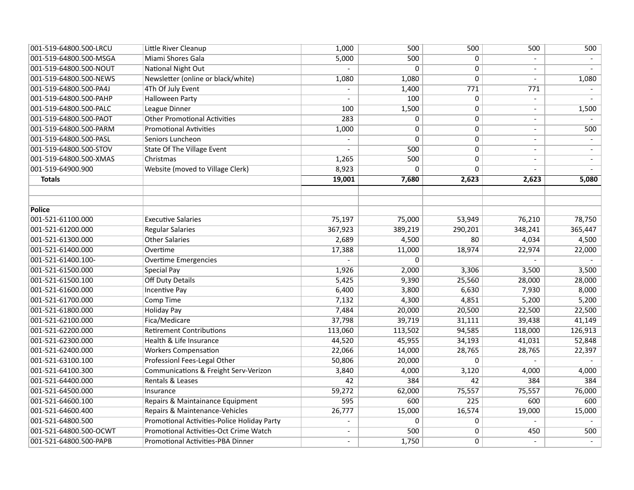| 001-519-64800.500-LRCU | Little River Cleanup                             | 1,000          | 500         | 500            | 500                      | 500     |
|------------------------|--------------------------------------------------|----------------|-------------|----------------|--------------------------|---------|
| 001-519-64800.500-MSGA | Miami Shores Gala                                | 5,000          | 500         | $\overline{0}$ |                          |         |
| 001-519-64800.500-NOUT | <b>National Night Out</b>                        | $\overline{a}$ | $\Omega$    | $\overline{0}$ | $\overline{\phantom{a}}$ | $\sim$  |
| 001-519-64800.500-NEWS | Newsletter (online or black/white)               | 1,080          | 1,080       | $\mathbf 0$    | $\blacksquare$           | 1,080   |
| 001-519-64800.500-PA4J | 4Th Of July Event                                |                | 1,400       | 771            | 771                      |         |
| 001-519-64800.500-PAHP | <b>Halloween Party</b>                           |                | 100         | 0              | $\frac{1}{2}$            |         |
| 001-519-64800.500-PALC | League Dinner                                    | 100            | 1,500       | $\mathbf 0$    | $\blacksquare$           | 1,500   |
| 001-519-64800.500-PAOT | <b>Other Promotional Activities</b>              | 283            | $\Omega$    | $\mathbf 0$    | $\overline{\phantom{a}}$ |         |
| 001-519-64800.500-PARM | <b>Promotional Avtivities</b>                    | 1,000          | $\mathbf 0$ | $\mathbf 0$    | $\overline{\phantom{a}}$ | 500     |
| 001-519-64800.500-PASL | Seniors Luncheon                                 |                | $\Omega$    | 0              | $\blacksquare$           |         |
| 001-519-64800.500-STOV | <b>State Of The Village Event</b>                |                | 500         | $\mathbf 0$    | $\overline{\phantom{a}}$ | $-$     |
| 001-519-64800.500-XMAS | Christmas                                        | 1,265          | 500         | 0              | $\overline{\phantom{a}}$ | $\sim$  |
| 001-519-64900.900      | Website (moved to Village Clerk)                 | 8,923          | $\Omega$    | $\overline{0}$ |                          |         |
| <b>Totals</b>          |                                                  | 19,001         | 7,680       | 2,623          | 2,623                    | 5,080   |
|                        |                                                  |                |             |                |                          |         |
|                        |                                                  |                |             |                |                          |         |
| <b>Police</b>          |                                                  |                |             |                |                          |         |
| 001-521-61100.000      | <b>Executive Salaries</b>                        | 75,197         | 75,000      | 53,949         | 76,210                   | 78,750  |
| 001-521-61200.000      | <b>Regular Salaries</b>                          | 367,923        | 389,219     | 290,201        | 348,241                  | 365,447 |
| 001-521-61300.000      | <b>Other Salaries</b>                            | 2,689          | 4,500       | 80             | 4,034                    | 4,500   |
| 001-521-61400.000      | Overtime                                         | 17,388         | 11,000      | 18,974         | 22,974                   | 22,000  |
| 001-521-61400.100-     | <b>Overtime Emergencies</b>                      |                | $\mathbf 0$ |                |                          |         |
| 001-521-61500.000      | <b>Special Pay</b>                               | 1,926          | 2,000       | 3,306          | 3,500                    | 3,500   |
| 001-521-61500.100      | <b>Off Duty Details</b>                          | 5,425          | 9,390       | 25,560         | 28,000                   | 28,000  |
| 001-521-61600.000      | <b>Incentive Pay</b>                             | 6,400          | 3,800       | 6,630          | 7,930                    | 8,000   |
| 001-521-61700.000      | <b>Comp Time</b>                                 | 7,132          | 4,300       | 4,851          | 5,200                    | 5,200   |
| 001-521-61800.000      | <b>Holiday Pay</b>                               | 7,484          | 20,000      | 20,500         | 22,500                   | 22,500  |
| 001-521-62100.000      | Fica/Medicare                                    | 37,798         | 39,719      | 31,111         | 39,438                   | 41,149  |
| 001-521-62200.000      | <b>Retirement Contributions</b>                  | 113,060        | 113,502     | 94,585         | 118,000                  | 126,913 |
| 001-521-62300.000      | Health & Life Insurance                          | 44,520         | 45,955      | 34,193         | 41,031                   | 52,848  |
| 001-521-62400.000      | <b>Workers Compensation</b>                      | 22,066         | 14,000      | 28,765         | 28,765                   | 22,397  |
| 001-521-63100.100      | Professionl Fees-Legal Other                     | 50,806         | 20,000      | $\Omega$       |                          |         |
| 001-521-64100.300      | <b>Communications &amp; Freight Serv-Verizon</b> | 3,840          | 4,000       | 3,120          | 4,000                    | 4,000   |
| 001-521-64400.000      | Rentals & Leases                                 | 42             | 384         | 42             | 384                      | 384     |
| 001-521-64500.000      | Insurance                                        | 59,272         | 62,000      | 75,557         | 75,557                   | 76,000  |
| 001-521-64600.100      | Repairs & Maintainance Equipment                 | 595            | 600         | 225            | 600                      | 600     |
| 001-521-64600.400      | Repairs & Maintenance-Vehicles                   | 26,777         | 15,000      | 16,574         | 19,000                   | 15,000  |
| 001-521-64800.500      | Promotional Activities-Police Holiday Party      | $\overline{a}$ | $\mathbf 0$ | $\mathbf 0$    | $\blacksquare$           |         |
| 001-521-64800.500-OCWT | Promotional Activities-Oct Crime Watch           |                | 500         | $\overline{0}$ | 450                      | 500     |
| 001-521-64800.500-PAPB | <b>Promotional Activities-PBA Dinner</b>         |                | 1,750       | $\overline{0}$ |                          |         |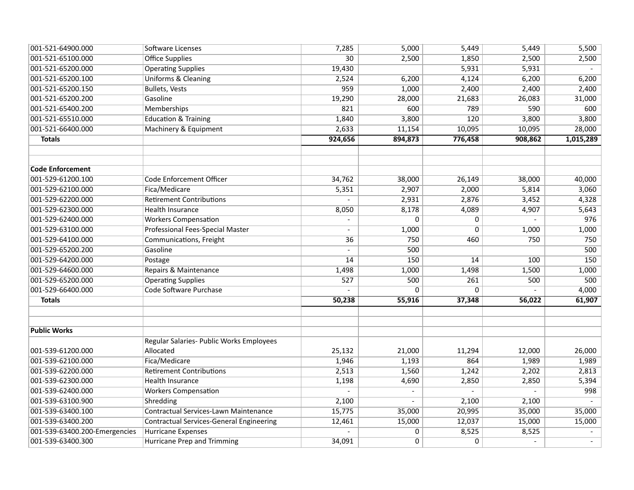| 001-521-64900.000             | Software Licenses                               | 7,285                    | 5,000                    | 5,449          | 5,449          | 5,500     |
|-------------------------------|-------------------------------------------------|--------------------------|--------------------------|----------------|----------------|-----------|
| 001-521-65100.000             | <b>Office Supplies</b>                          | $\overline{30}$          | 2,500                    | 1,850          | 2,500          | 2,500     |
| 001-521-65200.000             | <b>Operating Supplies</b>                       | 19,430                   |                          | 5,931          | 5,931          |           |
| 001-521-65200.100             | Uniforms & Cleaning                             | 2,524                    | 6,200                    | 4,124          | 6,200          | 6,200     |
| 001-521-65200.150             | <b>Bullets, Vests</b>                           | 959                      | 1,000                    | 2,400          | 2,400          | 2,400     |
| 001-521-65200.200             | Gasoline                                        | 19,290                   | 28,000                   | 21,683         | 26,083         | 31,000    |
| 001-521-65400.200             | <b>Memberships</b>                              | 821                      | 600                      | 789            | 590            | 600       |
| 001-521-65510.000             | <b>Education &amp; Training</b>                 | 1,840                    | 3,800                    | 120            | 3,800          | 3,800     |
| 001-521-66400.000             | <b>Machinery &amp; Equipment</b>                | 2,633                    | 11,154                   | 10,095         | 10,095         | 28,000    |
| <b>Totals</b>                 |                                                 | 924,656                  | 894,873                  | 776,458        | 908,862        | 1,015,289 |
|                               |                                                 |                          |                          |                |                |           |
| <b>Code Enforcement</b>       |                                                 |                          |                          |                |                |           |
| 001-529-61200.100             | Code Enforcement Officer                        | 34,762                   | 38,000                   | 26,149         | 38,000         | 40,000    |
| 001-529-62100.000             | Fica/Medicare                                   | 5,351                    | 2,907                    | 2,000          | 5,814          | 3,060     |
| 001-529-62200.000             | <b>Retirement Contributions</b>                 |                          | 2,931                    | 2,876          | 3,452          | 4,328     |
| 001-529-62300.000             | <b>Health Insurance</b>                         | 8,050                    | 8,178                    | 4,089          | 4,907          | 5,643     |
| 001-529-62400.000             | <b>Workers Compensation</b>                     |                          | $\Omega$                 | $\mathbf 0$    | $\overline{a}$ | 976       |
| 001-529-63100.000             | <b>Professional Fees-Special Master</b>         | $\overline{\phantom{a}}$ | 1,000                    | $\overline{0}$ | 1,000          | 1,000     |
| 001-529-64100.000             | Communications, Freight                         | 36                       | 750                      | 460            | 750            | 750       |
| 001-529-65200.200             | Gasoline                                        |                          | 500                      |                |                | 500       |
| 001-529-64200.000             | Postage                                         | 14                       | 150                      | 14             | 100            | 150       |
| 001-529-64600.000             | Repairs & Maintenance                           | 1,498                    | 1,000                    | 1,498          | 1,500          | 1,000     |
| 001-529-65200.000             | <b>Operating Supplies</b>                       | $\overline{527}$         | 500                      | 261            | 500            | 500       |
| 001-529-66400.000             | Code Software Purchase                          |                          | $\Omega$                 | $\overline{0}$ |                | 4,000     |
| <b>Totals</b>                 |                                                 | 50,238                   | 55,916                   | 37,348         | 56,022         | 61,907    |
|                               |                                                 |                          |                          |                |                |           |
| <b>Public Works</b>           |                                                 |                          |                          |                |                |           |
|                               | Regular Salaries- Public Works Employees        |                          |                          |                |                |           |
| 001-539-61200.000             | Allocated                                       | 25,132                   | 21,000                   | 11,294         | 12,000         | 26,000    |
| 001-539-62100.000             | Fica/Medicare                                   | 1,946                    | 1,193                    | 864            | 1,989          | 1,989     |
| 001-539-62200.000             | <b>Retirement Contributions</b>                 | 2,513                    | 1,560                    | 1,242          | 2,202          | 2,813     |
| 001-539-62300.000             | <b>Health Insurance</b>                         | 1,198                    | 4,690                    | 2,850          | 2,850          | 5,394     |
| 001-539-62400.000             | <b>Workers Compensation</b>                     |                          | $\overline{\phantom{0}}$ |                | $\overline{a}$ | 998       |
| 001-539-63100.900             | Shredding                                       | 2,100                    |                          | 2,100          | 2,100          |           |
| 001-539-63400.100             | Contractual Services-Lawn Maintenance           | 15,775                   | 35,000                   | 20,995         | 35,000         | 35,000    |
| 001-539-63400.200             | <b>Contractual Services-General Engineering</b> | 12,461                   | 15,000                   | 12,037         | 15,000         | 15,000    |
| 001-539-63400.200-Emergencies | <b>Hurricane Expenses</b>                       |                          | 0                        | 8,525          | 8,525          |           |
| 001-539-63400.300             | <b>Hurricane Prep and Trimming</b>              | 34,091                   | $\mathbf 0$              | 0              |                |           |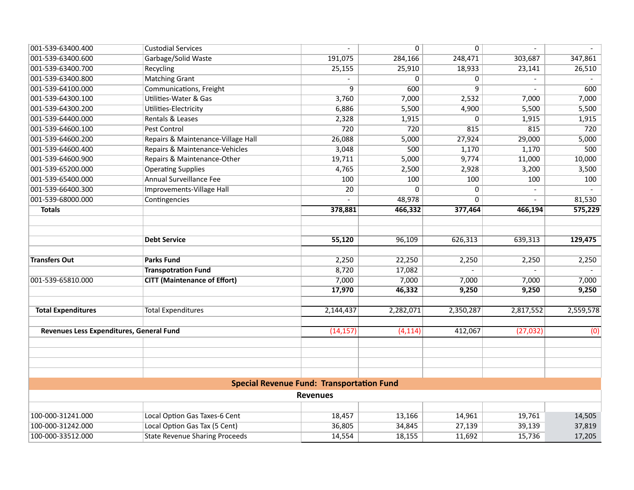| 001-539-63400.400                        | <b>Custodial Services</b>             |                                                  | $\overline{0}$ | $\overline{0}$ |                |           |
|------------------------------------------|---------------------------------------|--------------------------------------------------|----------------|----------------|----------------|-----------|
| 001-539-63400.600                        | Garbage/Solid Waste                   | 191,075                                          | 284,166        | 248,471        | 303,687        | 347,861   |
| 001-539-63400.700                        | Recycling                             | 25,155                                           | 25,910         | 18,933         | 23,141         | 26,510    |
| 001-539-63400.800                        | <b>Matching Grant</b>                 |                                                  | $\Omega$       | 0              |                |           |
| 001-539-64100.000                        | Communications, Freight               | $\overline{q}$                                   | 600            | $\overline{9}$ | $\mathbf{r}$   | 600       |
| 001-539-64300.100                        | <b>Utilities-Water &amp; Gas</b>      | 3,760                                            | 7,000          | 2,532          | 7,000          | 7,000     |
| 001-539-64300.200                        | Utilities-Electricity                 | 6,886                                            | 5,500          | 4,900          | 5,500          | 5,500     |
| 001-539-64400.000                        | Rentals & Leases                      | 2,328                                            | 1,915          | 0              | 1,915          | 1,915     |
| 001-539-64600.100                        | <b>Pest Control</b>                   | $\overline{720}$                                 | 720            | 815            | 815            | 720       |
| 001-539-64600.200                        | Repairs & Maintenance-Village Hall    | 26,088                                           | 5,000          | 27,924         | 29,000         | 5,000     |
| 001-539-64600.400                        | Repairs & Maintenance-Vehicles        | 3,048                                            | 500            | 1,170          | 1,170          | 500       |
| 001-539-64600.900                        | Repairs & Maintenance-Other           | 19,711                                           | 5,000          | 9,774          | 11,000         | 10,000    |
| 001-539-65200.000                        | <b>Operating Supplies</b>             | 4,765                                            | 2,500          | 2,928          | 3,200          | 3,500     |
| 001-539-65400.000                        | <b>Annual Surveillance Fee</b>        | 100                                              | 100            | 100            | 100            | 100       |
| 001-539-66400.300                        | Improvements-Village Hall             | $\overline{20}$                                  | $\Omega$       | 0              | $\blacksquare$ |           |
| 001-539-68000.000                        | Contingencies                         |                                                  | 48,978         | 0              |                | 81,530    |
| <b>Totals</b>                            |                                       | 378,881                                          | 466,332        | 377,464        | 466,194        | 575,229   |
|                                          |                                       |                                                  |                |                |                |           |
|                                          |                                       |                                                  |                |                |                |           |
|                                          | <b>Debt Service</b>                   | 55,120                                           | 96,109         | 626,313        | 639,313        | 129,475   |
|                                          |                                       |                                                  |                |                |                |           |
| <b>Transfers Out</b>                     | <b>Parks Fund</b>                     | 2,250                                            | 22,250         | 2,250          | 2,250          | 2,250     |
|                                          | <b>Transpotration Fund</b>            | 8,720                                            | 17,082         |                | $\overline{a}$ |           |
| 001-539-65810.000                        | <b>CITT (Maintenance of Effort)</b>   | 7,000                                            | 7,000          | 7,000          | 7,000          | 7,000     |
|                                          |                                       | 17,970                                           | 46,332         | 9,250          | 9,250          | 9,250     |
|                                          |                                       |                                                  |                |                |                |           |
| <b>Total Expenditures</b>                | <b>Total Expenditures</b>             | 2,144,437                                        | 2,282,071      | 2,350,287      | 2,817,552      | 2,559,578 |
| Revenues Less Expenditures, General Fund |                                       | (14, 157)                                        | (4, 114)       | 412,067        | (27, 032)      | (0)       |
|                                          |                                       |                                                  |                |                |                |           |
|                                          |                                       |                                                  |                |                |                |           |
|                                          |                                       |                                                  |                |                |                |           |
|                                          |                                       |                                                  |                |                |                |           |
|                                          |                                       | <b>Special Revenue Fund: Transportation Fund</b> |                |                |                |           |
|                                          |                                       | <b>Revenues</b>                                  |                |                |                |           |
|                                          |                                       |                                                  |                |                |                |           |
| 100-000-31241.000                        | Local Option Gas Taxes-6 Cent         | 18,457                                           | 13,166         | 14,961         | 19,761         | 14,505    |
| 100-000-31242.000                        | Local Option Gas Tax (5 Cent)         | 36,805                                           | 34,845         | 27,139         | 39,139         | 37,819    |
| 100-000-33512.000                        | <b>State Revenue Sharing Proceeds</b> | 14,554                                           | 18,155         | 11,692         | 15,736         | 17,205    |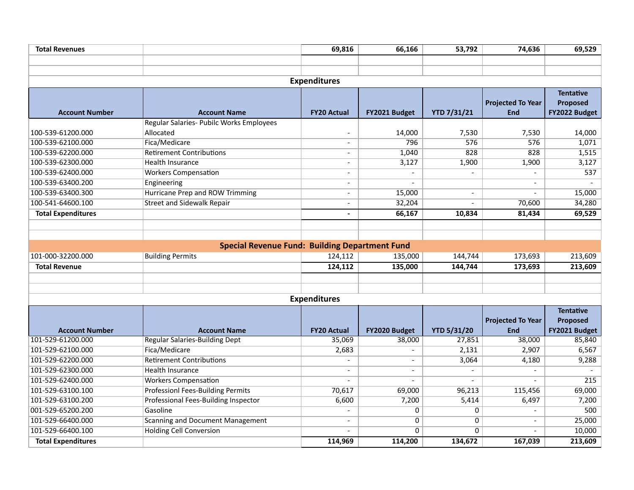| <b>Total Revenues</b>     |                                                       | 69,816                   | 66,166                   | 53,792             | 74,636                   | 69,529           |
|---------------------------|-------------------------------------------------------|--------------------------|--------------------------|--------------------|--------------------------|------------------|
|                           |                                                       |                          |                          |                    |                          |                  |
|                           |                                                       |                          |                          |                    |                          |                  |
|                           |                                                       | <b>Expenditures</b>      |                          |                    |                          |                  |
|                           |                                                       |                          |                          |                    |                          | <b>Tentative</b> |
|                           |                                                       |                          |                          |                    | <b>Projected To Year</b> | Proposed         |
| <b>Account Number</b>     | <b>Account Name</b>                                   | <b>FY20 Actual</b>       | FY2021 Budget            | <b>YTD 7/31/21</b> | <b>End</b>               | FY2022 Budget    |
|                           | Regular Salaries- Pubilc Works Employees              |                          |                          |                    |                          |                  |
| 100-539-61200.000         | Allocated                                             |                          | 14,000                   | 7,530              | 7,530                    | 14,000           |
| 100-539-62100.000         | Fica/Medicare                                         | $\overline{\phantom{a}}$ | 796                      | 576                | 576                      | 1,071            |
| 100-539-62200.000         | <b>Retirement Contributions</b>                       |                          | 1,040                    | 828                | 828                      | 1,515            |
| 100-539-62300.000         | Health Insurance                                      | $\overline{\phantom{a}}$ | 3,127                    | 1,900              | 1,900                    | 3,127            |
| 100-539-62400.000         | <b>Workers Compensation</b>                           | $\overline{\phantom{a}}$ |                          |                    |                          | 537              |
| 100-539-63400.200         | Engineering                                           | $\overline{\phantom{a}}$ |                          |                    |                          |                  |
| 100-539-63400.300         | <b>Hurricane Prep and ROW Trimming</b>                |                          | 15,000                   | $\overline{a}$     | $\overline{a}$           | 15,000           |
| 100-541-64600.100         | <b>Street and Sidewalk Repair</b>                     | $\overline{a}$           | 32,204                   | $\overline{a}$     | 70,600                   | 34,280           |
| <b>Total Expenditures</b> |                                                       | $\overline{\phantom{0}}$ | 66,167                   | 10,834             | 81,434                   | 69,529           |
|                           |                                                       |                          |                          |                    |                          |                  |
|                           |                                                       |                          |                          |                    |                          |                  |
|                           | <b>Special Revenue Fund: Building Department Fund</b> |                          |                          |                    |                          |                  |
| 101-000-32200.000         | <b>Building Permits</b>                               | 124,112                  | 135,000                  | 144,744            | 173,693                  | 213,609          |
| <b>Total Revenue</b>      |                                                       | 124,112                  | 135,000                  | 144,744            | 173,693                  | 213,609          |
|                           |                                                       |                          |                          |                    |                          |                  |
|                           |                                                       |                          |                          |                    |                          |                  |
|                           |                                                       | <b>Expenditures</b>      |                          |                    |                          |                  |
|                           |                                                       |                          |                          |                    |                          | <b>Tentative</b> |
|                           |                                                       |                          |                          |                    | <b>Projected To Year</b> | Proposed         |
| <b>Account Number</b>     | <b>Account Name</b>                                   | <b>FY20 Actual</b>       | FY2020 Budget            | <b>YTD 5/31/20</b> | <b>End</b>               | FY2021 Budget    |
| 101-529-61200.000         | <b>Regular Salaries-Building Dept</b>                 | 35,069                   | 38,000                   | 27,851             | 38,000                   | 85,840           |
| 101-529-62100.000         | Fica/Medicare                                         | 2,683                    |                          | 2,131              | 2,907                    | 6,567            |
| 101-529-62200.000         | <b>Retirement Contributions</b>                       |                          | $\overline{\phantom{a}}$ | 3,064              | 4,180                    | 9,288            |
| 101-529-62300.000         | <b>Health Insurance</b>                               |                          | $\overline{\phantom{a}}$ |                    | $\blacksquare$           |                  |
| 101-529-62400.000         | <b>Workers Compensation</b>                           |                          | $\overline{\phantom{0}}$ |                    |                          | 215              |
| 101-529-63100.100         | <b>Professionl Fees-Building Permits</b>              | 70,617                   | 69,000                   | 96,213             | 115,456                  | 69,000           |
| 101-529-63100.200         | Professional Fees-Building Inspector                  | 6,600                    | 7,200                    | 5,414              | 6,497                    | 7,200            |
| 001-529-65200.200         | Gasoline                                              |                          | $\mathbf 0$              | $\mathbf 0$        | $\blacksquare$           | 500              |
| 101-529-66400.000         | <b>Scanning and Document Management</b>               |                          | $\mathbf 0$              | $\mathbf 0$        |                          | 25,000           |
| 101-529-66400.100         | <b>Holding Cell Conversion</b>                        |                          | $\Omega$                 | $\Omega$           | $\overline{a}$           | 10,000           |
| <b>Total Expenditures</b> |                                                       | 114,969                  | 114,200                  | 134,672            | 167,039                  | 213,609          |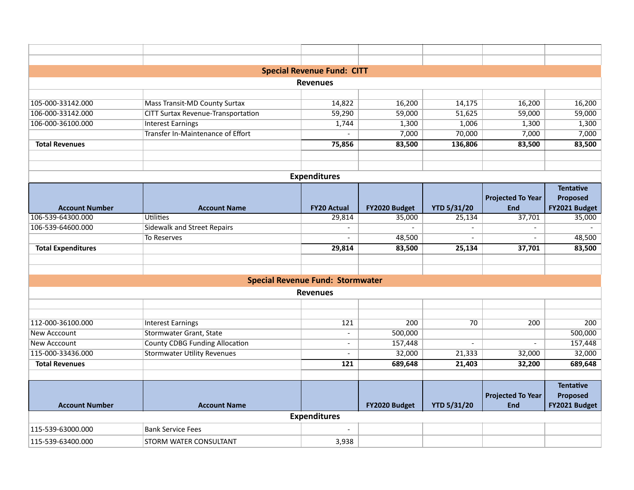|                           |                                           | <b>Special Revenue Fund: CITT</b>       |               |                    |                                        |                                               |
|---------------------------|-------------------------------------------|-----------------------------------------|---------------|--------------------|----------------------------------------|-----------------------------------------------|
|                           |                                           | <b>Revenues</b>                         |               |                    |                                        |                                               |
|                           |                                           |                                         |               |                    |                                        |                                               |
| 105-000-33142.000         | <b>Mass Transit-MD County Surtax</b>      | 14,822                                  | 16,200        | 14,175             | 16,200                                 | 16,200                                        |
| 106-000-33142.000         | <b>CITT Surtax Revenue-Transportation</b> | 59,290                                  | 59,000        | 51,625             | 59,000                                 | 59,000                                        |
| 106-000-36100.000         | <b>Interest Earnings</b>                  | 1,744                                   | 1,300         | 1,006              | 1,300                                  | 1,300                                         |
|                           | <b>Transfer In-Maintenance of Effort</b>  |                                         | 7,000         | 70,000             | 7,000                                  | 7,000                                         |
| <b>Total Revenues</b>     |                                           | 75,856                                  | 83,500        | 136,806            | 83,500                                 | 83,500                                        |
|                           |                                           |                                         |               |                    |                                        |                                               |
|                           |                                           | <b>Expenditures</b>                     |               |                    |                                        |                                               |
|                           |                                           |                                         |               |                    |                                        | <b>Tentative</b>                              |
|                           |                                           |                                         |               |                    | <b>Projected To Year</b>               | Proposed                                      |
| <b>Account Number</b>     | <b>Account Name</b>                       | <b>FY20 Actual</b>                      | FY2020 Budget | <b>YTD 5/31/20</b> | <b>End</b>                             | FY2021 Budget                                 |
| 106-539-64300.000         | Utilities                                 | 29,814                                  | 35,000        | 25,134             | 37,701                                 | 35,000                                        |
| 106-539-64600.000         | <b>Sidewalk and Street Repairs</b>        |                                         |               |                    |                                        |                                               |
|                           | To Reserves                               |                                         | 48,500        |                    |                                        | 48,500                                        |
| <b>Total Expenditures</b> |                                           | 29,814                                  | 83,500        | 25,134             | 37,701                                 | 83,500                                        |
|                           |                                           |                                         |               |                    |                                        |                                               |
|                           |                                           | <b>Special Revenue Fund: Stormwater</b> |               |                    |                                        |                                               |
|                           |                                           | <b>Revenues</b>                         |               |                    |                                        |                                               |
|                           |                                           |                                         |               |                    |                                        |                                               |
|                           |                                           |                                         |               |                    |                                        |                                               |
| 112-000-36100.000         | <b>Interest Earnings</b>                  | 121                                     | 200           | 70                 | 200                                    | 200                                           |
| New Acccount              | <b>Stormwater Grant, State</b>            |                                         | 500,000       |                    |                                        | 500,000                                       |
| New Acccount              | <b>County CDBG Funding Allocation</b>     |                                         | 157,448       | $\overline{a}$     |                                        | 157,448                                       |
| 115-000-33436.000         | <b>Stormwater Utility Revenues</b>        | $\overline{\phantom{a}}$                | 32,000        | 21,333             | 32,000                                 | 32,000                                        |
| <b>Total Revenues</b>     |                                           | 121                                     | 689,648       | 21,403             | 32,200                                 | 689,648                                       |
| <b>Account Number</b>     | <b>Account Name</b>                       |                                         | FY2020 Budget | <b>YTD 5/31/20</b> | <b>Projected To Year</b><br><b>End</b> | <b>Tentative</b><br>Proposed<br>FY2021 Budget |
|                           |                                           | <b>Expenditures</b>                     |               |                    |                                        |                                               |
| 115-539-63000.000         | <b>Bank Service Fees</b>                  |                                         |               |                    |                                        |                                               |
| 115-539-63400.000         | STORM WATER CONSULTANT                    | 3,938                                   |               |                    |                                        |                                               |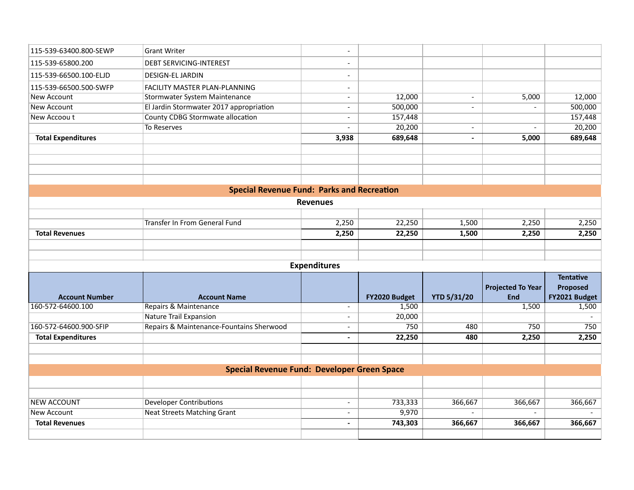| 115-539-63400.800-SEWP<br><b>Grant Writer</b><br>$\blacksquare$<br>115-539-65800.200<br><b>DEBT SERVICING-INTEREST</b><br>115-539-66500.100-ELJD<br><b>DESIGN-EL JARDIN</b><br>$\overline{\phantom{0}}$<br>115-539-66500.500-SWFP<br>FACILITY MASTER PLAN-PLANNING<br>$\overline{\phantom{a}}$<br><b>New Account</b><br>Stormwater System Maintenance<br>12,000<br>5,000<br>$\overline{a}$<br>$\blacksquare$<br><b>New Account</b><br>El Jardin Stormwater 2017 appropriation<br>500,000<br>$\overline{\phantom{a}}$<br>$\overline{a}$<br><b>County CDBG Stormwate allocation</b><br>New Accoou t<br>157,448<br>$\overline{\phantom{a}}$<br>20,200<br>To Reserves<br>$\overline{\phantom{a}}$<br>$\overline{\phantom{a}}$<br><b>Total Expenditures</b><br>3,938<br>689,648<br>5,000<br>$\blacksquare$<br><b>Special Revenue Fund: Parks and Recreation</b><br><b>Revenues</b><br><b>Transfer In From General Fund</b><br>2,250<br>22,250<br>1,500<br>2,250<br><b>Total Revenues</b><br>2,250<br>22,250<br>1,500<br>2,250<br>2,250<br><b>Expenditures</b><br><b>Tentative</b><br><b>Projected To Year</b><br>Proposed<br>End<br><b>Account Number</b><br><b>Account Name</b><br>FY2020 Budget<br><b>YTD 5/31/20</b><br>Repairs & Maintenance<br>160-572-64600.100<br>1,500<br>1,500<br>$\overline{\phantom{a}}$<br><b>Nature Trail Expansion</b><br>20,000<br>Repairs & Maintenance-Fountains Sherwood<br>160-572-64600.900-SFIP<br>750<br>480<br>750<br>$\blacksquare$<br><b>Total Expenditures</b><br>22,250<br>2,250<br>2,250<br>480<br>$\blacksquare$<br><b>Special Revenue Fund: Developer Green Space</b><br><b>Developer Contributions</b><br><b>NEW ACCOUNT</b><br>733,333<br>366,667<br>366,667<br>366,667<br>$\overline{\phantom{a}}$<br><b>Neat Streets Matching Grant</b><br>9,970<br><b>New Account</b><br>$\overline{\phantom{a}}$<br>743,303<br><b>Total Revenues</b><br>366,667<br>366,667<br>$\blacksquare$ |  |  |  |               |
|-----------------------------------------------------------------------------------------------------------------------------------------------------------------------------------------------------------------------------------------------------------------------------------------------------------------------------------------------------------------------------------------------------------------------------------------------------------------------------------------------------------------------------------------------------------------------------------------------------------------------------------------------------------------------------------------------------------------------------------------------------------------------------------------------------------------------------------------------------------------------------------------------------------------------------------------------------------------------------------------------------------------------------------------------------------------------------------------------------------------------------------------------------------------------------------------------------------------------------------------------------------------------------------------------------------------------------------------------------------------------------------------------------------------------------------------------------------------------------------------------------------------------------------------------------------------------------------------------------------------------------------------------------------------------------------------------------------------------------------------------------------------------------------------------------------------------------------------------------------------------------------------------------------------------------|--|--|--|---------------|
|                                                                                                                                                                                                                                                                                                                                                                                                                                                                                                                                                                                                                                                                                                                                                                                                                                                                                                                                                                                                                                                                                                                                                                                                                                                                                                                                                                                                                                                                                                                                                                                                                                                                                                                                                                                                                                                                                                                             |  |  |  |               |
|                                                                                                                                                                                                                                                                                                                                                                                                                                                                                                                                                                                                                                                                                                                                                                                                                                                                                                                                                                                                                                                                                                                                                                                                                                                                                                                                                                                                                                                                                                                                                                                                                                                                                                                                                                                                                                                                                                                             |  |  |  |               |
|                                                                                                                                                                                                                                                                                                                                                                                                                                                                                                                                                                                                                                                                                                                                                                                                                                                                                                                                                                                                                                                                                                                                                                                                                                                                                                                                                                                                                                                                                                                                                                                                                                                                                                                                                                                                                                                                                                                             |  |  |  |               |
|                                                                                                                                                                                                                                                                                                                                                                                                                                                                                                                                                                                                                                                                                                                                                                                                                                                                                                                                                                                                                                                                                                                                                                                                                                                                                                                                                                                                                                                                                                                                                                                                                                                                                                                                                                                                                                                                                                                             |  |  |  |               |
|                                                                                                                                                                                                                                                                                                                                                                                                                                                                                                                                                                                                                                                                                                                                                                                                                                                                                                                                                                                                                                                                                                                                                                                                                                                                                                                                                                                                                                                                                                                                                                                                                                                                                                                                                                                                                                                                                                                             |  |  |  | 12,000        |
|                                                                                                                                                                                                                                                                                                                                                                                                                                                                                                                                                                                                                                                                                                                                                                                                                                                                                                                                                                                                                                                                                                                                                                                                                                                                                                                                                                                                                                                                                                                                                                                                                                                                                                                                                                                                                                                                                                                             |  |  |  | 500,000       |
|                                                                                                                                                                                                                                                                                                                                                                                                                                                                                                                                                                                                                                                                                                                                                                                                                                                                                                                                                                                                                                                                                                                                                                                                                                                                                                                                                                                                                                                                                                                                                                                                                                                                                                                                                                                                                                                                                                                             |  |  |  | 157,448       |
|                                                                                                                                                                                                                                                                                                                                                                                                                                                                                                                                                                                                                                                                                                                                                                                                                                                                                                                                                                                                                                                                                                                                                                                                                                                                                                                                                                                                                                                                                                                                                                                                                                                                                                                                                                                                                                                                                                                             |  |  |  | 20,200        |
|                                                                                                                                                                                                                                                                                                                                                                                                                                                                                                                                                                                                                                                                                                                                                                                                                                                                                                                                                                                                                                                                                                                                                                                                                                                                                                                                                                                                                                                                                                                                                                                                                                                                                                                                                                                                                                                                                                                             |  |  |  | 689,648       |
|                                                                                                                                                                                                                                                                                                                                                                                                                                                                                                                                                                                                                                                                                                                                                                                                                                                                                                                                                                                                                                                                                                                                                                                                                                                                                                                                                                                                                                                                                                                                                                                                                                                                                                                                                                                                                                                                                                                             |  |  |  |               |
|                                                                                                                                                                                                                                                                                                                                                                                                                                                                                                                                                                                                                                                                                                                                                                                                                                                                                                                                                                                                                                                                                                                                                                                                                                                                                                                                                                                                                                                                                                                                                                                                                                                                                                                                                                                                                                                                                                                             |  |  |  |               |
|                                                                                                                                                                                                                                                                                                                                                                                                                                                                                                                                                                                                                                                                                                                                                                                                                                                                                                                                                                                                                                                                                                                                                                                                                                                                                                                                                                                                                                                                                                                                                                                                                                                                                                                                                                                                                                                                                                                             |  |  |  |               |
|                                                                                                                                                                                                                                                                                                                                                                                                                                                                                                                                                                                                                                                                                                                                                                                                                                                                                                                                                                                                                                                                                                                                                                                                                                                                                                                                                                                                                                                                                                                                                                                                                                                                                                                                                                                                                                                                                                                             |  |  |  |               |
|                                                                                                                                                                                                                                                                                                                                                                                                                                                                                                                                                                                                                                                                                                                                                                                                                                                                                                                                                                                                                                                                                                                                                                                                                                                                                                                                                                                                                                                                                                                                                                                                                                                                                                                                                                                                                                                                                                                             |  |  |  |               |
|                                                                                                                                                                                                                                                                                                                                                                                                                                                                                                                                                                                                                                                                                                                                                                                                                                                                                                                                                                                                                                                                                                                                                                                                                                                                                                                                                                                                                                                                                                                                                                                                                                                                                                                                                                                                                                                                                                                             |  |  |  |               |
|                                                                                                                                                                                                                                                                                                                                                                                                                                                                                                                                                                                                                                                                                                                                                                                                                                                                                                                                                                                                                                                                                                                                                                                                                                                                                                                                                                                                                                                                                                                                                                                                                                                                                                                                                                                                                                                                                                                             |  |  |  | 2,250         |
|                                                                                                                                                                                                                                                                                                                                                                                                                                                                                                                                                                                                                                                                                                                                                                                                                                                                                                                                                                                                                                                                                                                                                                                                                                                                                                                                                                                                                                                                                                                                                                                                                                                                                                                                                                                                                                                                                                                             |  |  |  |               |
|                                                                                                                                                                                                                                                                                                                                                                                                                                                                                                                                                                                                                                                                                                                                                                                                                                                                                                                                                                                                                                                                                                                                                                                                                                                                                                                                                                                                                                                                                                                                                                                                                                                                                                                                                                                                                                                                                                                             |  |  |  |               |
|                                                                                                                                                                                                                                                                                                                                                                                                                                                                                                                                                                                                                                                                                                                                                                                                                                                                                                                                                                                                                                                                                                                                                                                                                                                                                                                                                                                                                                                                                                                                                                                                                                                                                                                                                                                                                                                                                                                             |  |  |  |               |
|                                                                                                                                                                                                                                                                                                                                                                                                                                                                                                                                                                                                                                                                                                                                                                                                                                                                                                                                                                                                                                                                                                                                                                                                                                                                                                                                                                                                                                                                                                                                                                                                                                                                                                                                                                                                                                                                                                                             |  |  |  |               |
|                                                                                                                                                                                                                                                                                                                                                                                                                                                                                                                                                                                                                                                                                                                                                                                                                                                                                                                                                                                                                                                                                                                                                                                                                                                                                                                                                                                                                                                                                                                                                                                                                                                                                                                                                                                                                                                                                                                             |  |  |  |               |
|                                                                                                                                                                                                                                                                                                                                                                                                                                                                                                                                                                                                                                                                                                                                                                                                                                                                                                                                                                                                                                                                                                                                                                                                                                                                                                                                                                                                                                                                                                                                                                                                                                                                                                                                                                                                                                                                                                                             |  |  |  |               |
|                                                                                                                                                                                                                                                                                                                                                                                                                                                                                                                                                                                                                                                                                                                                                                                                                                                                                                                                                                                                                                                                                                                                                                                                                                                                                                                                                                                                                                                                                                                                                                                                                                                                                                                                                                                                                                                                                                                             |  |  |  | FY2021 Budget |
|                                                                                                                                                                                                                                                                                                                                                                                                                                                                                                                                                                                                                                                                                                                                                                                                                                                                                                                                                                                                                                                                                                                                                                                                                                                                                                                                                                                                                                                                                                                                                                                                                                                                                                                                                                                                                                                                                                                             |  |  |  | 1,500         |
|                                                                                                                                                                                                                                                                                                                                                                                                                                                                                                                                                                                                                                                                                                                                                                                                                                                                                                                                                                                                                                                                                                                                                                                                                                                                                                                                                                                                                                                                                                                                                                                                                                                                                                                                                                                                                                                                                                                             |  |  |  |               |
|                                                                                                                                                                                                                                                                                                                                                                                                                                                                                                                                                                                                                                                                                                                                                                                                                                                                                                                                                                                                                                                                                                                                                                                                                                                                                                                                                                                                                                                                                                                                                                                                                                                                                                                                                                                                                                                                                                                             |  |  |  | 750           |
|                                                                                                                                                                                                                                                                                                                                                                                                                                                                                                                                                                                                                                                                                                                                                                                                                                                                                                                                                                                                                                                                                                                                                                                                                                                                                                                                                                                                                                                                                                                                                                                                                                                                                                                                                                                                                                                                                                                             |  |  |  |               |
|                                                                                                                                                                                                                                                                                                                                                                                                                                                                                                                                                                                                                                                                                                                                                                                                                                                                                                                                                                                                                                                                                                                                                                                                                                                                                                                                                                                                                                                                                                                                                                                                                                                                                                                                                                                                                                                                                                                             |  |  |  |               |
|                                                                                                                                                                                                                                                                                                                                                                                                                                                                                                                                                                                                                                                                                                                                                                                                                                                                                                                                                                                                                                                                                                                                                                                                                                                                                                                                                                                                                                                                                                                                                                                                                                                                                                                                                                                                                                                                                                                             |  |  |  |               |
|                                                                                                                                                                                                                                                                                                                                                                                                                                                                                                                                                                                                                                                                                                                                                                                                                                                                                                                                                                                                                                                                                                                                                                                                                                                                                                                                                                                                                                                                                                                                                                                                                                                                                                                                                                                                                                                                                                                             |  |  |  |               |
|                                                                                                                                                                                                                                                                                                                                                                                                                                                                                                                                                                                                                                                                                                                                                                                                                                                                                                                                                                                                                                                                                                                                                                                                                                                                                                                                                                                                                                                                                                                                                                                                                                                                                                                                                                                                                                                                                                                             |  |  |  |               |
|                                                                                                                                                                                                                                                                                                                                                                                                                                                                                                                                                                                                                                                                                                                                                                                                                                                                                                                                                                                                                                                                                                                                                                                                                                                                                                                                                                                                                                                                                                                                                                                                                                                                                                                                                                                                                                                                                                                             |  |  |  |               |
|                                                                                                                                                                                                                                                                                                                                                                                                                                                                                                                                                                                                                                                                                                                                                                                                                                                                                                                                                                                                                                                                                                                                                                                                                                                                                                                                                                                                                                                                                                                                                                                                                                                                                                                                                                                                                                                                                                                             |  |  |  |               |
|                                                                                                                                                                                                                                                                                                                                                                                                                                                                                                                                                                                                                                                                                                                                                                                                                                                                                                                                                                                                                                                                                                                                                                                                                                                                                                                                                                                                                                                                                                                                                                                                                                                                                                                                                                                                                                                                                                                             |  |  |  | 366,667       |
|                                                                                                                                                                                                                                                                                                                                                                                                                                                                                                                                                                                                                                                                                                                                                                                                                                                                                                                                                                                                                                                                                                                                                                                                                                                                                                                                                                                                                                                                                                                                                                                                                                                                                                                                                                                                                                                                                                                             |  |  |  |               |